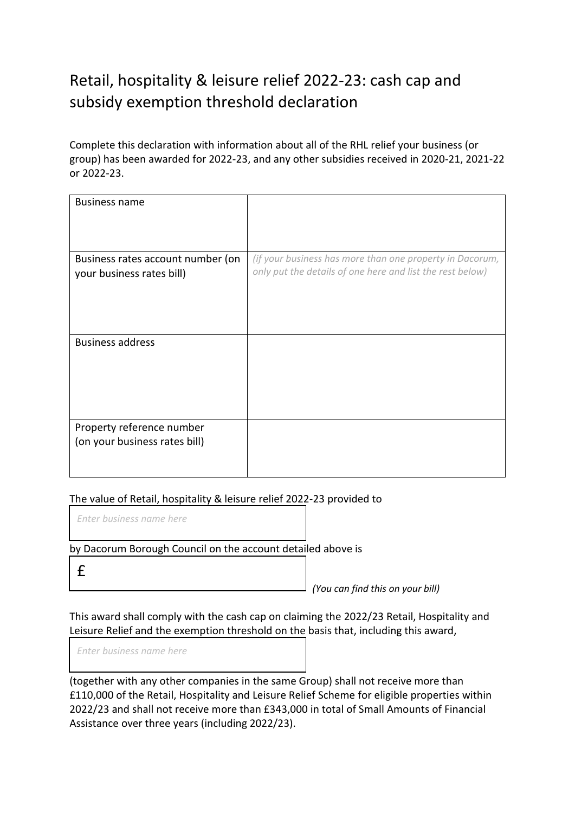## Retail, hospitality & leisure relief 2022-23: cash cap and subsidy exemption threshold declaration

Complete this declaration with information about all of the RHL relief your business (or group) has been awarded for 2022-23, and any other subsidies received in 2020-21, 2021-22 or 2022-23.

| <b>Business name</b>              |                                                           |
|-----------------------------------|-----------------------------------------------------------|
|                                   |                                                           |
|                                   |                                                           |
|                                   |                                                           |
|                                   |                                                           |
| Business rates account number (on | (if your business has more than one property in Dacorum,  |
|                                   |                                                           |
| your business rates bill)         | only put the details of one here and list the rest below) |
|                                   |                                                           |
|                                   |                                                           |
|                                   |                                                           |
|                                   |                                                           |
|                                   |                                                           |
| <b>Business address</b>           |                                                           |
|                                   |                                                           |
|                                   |                                                           |
|                                   |                                                           |
|                                   |                                                           |
|                                   |                                                           |
|                                   |                                                           |
|                                   |                                                           |
|                                   |                                                           |
| Property reference number         |                                                           |
| (on your business rates bill)     |                                                           |
|                                   |                                                           |
|                                   |                                                           |
|                                   |                                                           |

## The value of Retail, hospitality & leisure relief 2022-23 provided to

*Enter business name here*

by Dacorum Borough Council on the account detailed above is

£

*(You can find this on your bill)*

This award shall comply with the cash cap on claiming the 2022/23 Retail, Hospitality and Leisure Relief and the exemption threshold on the basis that, including this award,

*Enter business name here*

(together with any other companies in the same Group) shall not receive more than £110,000 of the Retail, Hospitality and Leisure Relief Scheme for eligible properties within 2022/23 and shall not receive more than £343,000 in total of Small Amounts of Financial Assistance over three years (including 2022/23).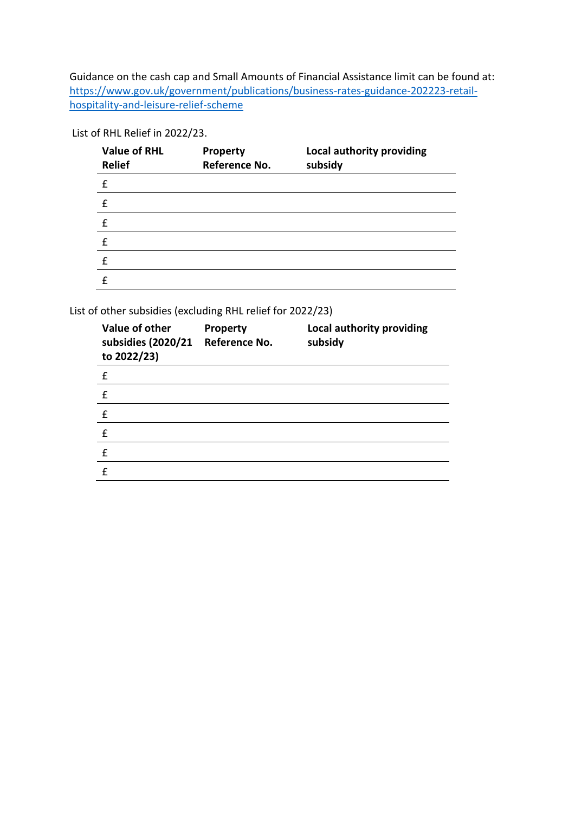Guidance on the cash cap and Small Amounts of Financial Assistance limit can be found at: [https://www.gov.uk/government/publications/business-rates-guidance-202223-retail](https://www.gov.uk/government/publications/business-rates-guidance-202223-retail-hospitality-and-leisure-relief-scheme)[hospitality-and-leisure-relief-scheme](https://www.gov.uk/government/publications/business-rates-guidance-202223-retail-hospitality-and-leisure-relief-scheme)

List of RHL Relief in 2022/23.

| <b>Value of RHL</b><br><b>Relief</b> | <b>Property</b><br>Reference No. | Local authority providing<br>subsidy |
|--------------------------------------|----------------------------------|--------------------------------------|
| £                                    |                                  |                                      |
| f                                    |                                  |                                      |
| f                                    |                                  |                                      |
| £                                    |                                  |                                      |
| f                                    |                                  |                                      |
| f                                    |                                  |                                      |

List of other subsidies (excluding RHL relief for 2022/23)

| Value of other<br>subsidies (2020/21<br>to 2022/23) | <b>Property</b><br>Reference No. | Local authority providing<br>subsidy |
|-----------------------------------------------------|----------------------------------|--------------------------------------|
| £                                                   |                                  |                                      |
| f                                                   |                                  |                                      |
| £                                                   |                                  |                                      |
| £                                                   |                                  |                                      |
| f                                                   |                                  |                                      |
| f                                                   |                                  |                                      |
|                                                     |                                  |                                      |